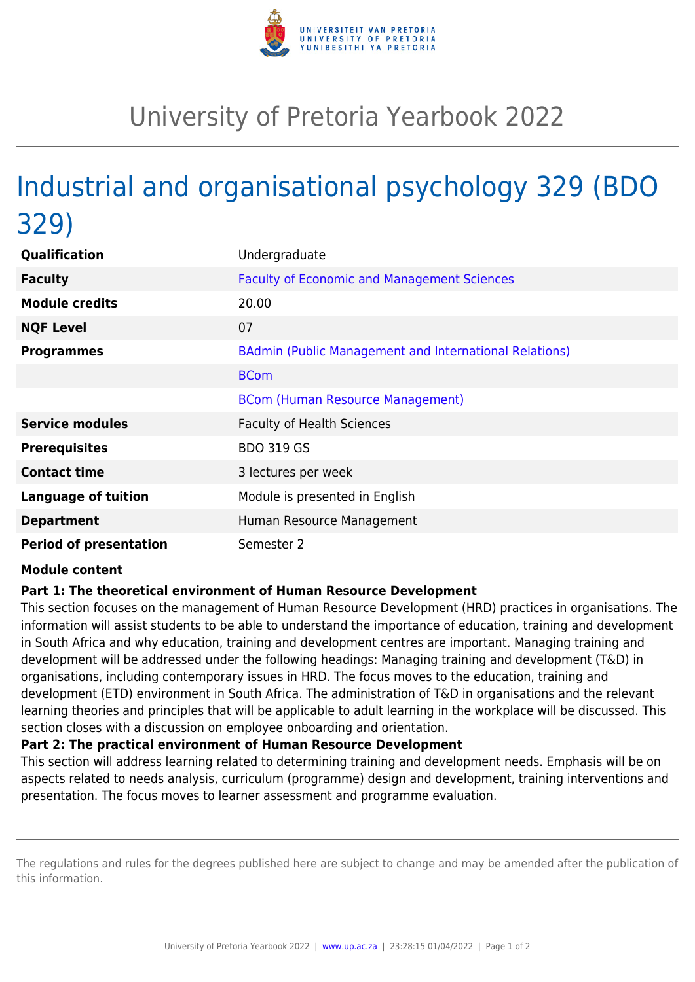

## University of Pretoria Yearbook 2022

# Industrial and organisational psychology 329 (BDO 329)

| Qualification                 | Undergraduate                                          |
|-------------------------------|--------------------------------------------------------|
| <b>Faculty</b>                | <b>Faculty of Economic and Management Sciences</b>     |
| <b>Module credits</b>         | 20.00                                                  |
| <b>NQF Level</b>              | 07                                                     |
| <b>Programmes</b>             | BAdmin (Public Management and International Relations) |
|                               | <b>BCom</b>                                            |
|                               | <b>BCom (Human Resource Management)</b>                |
| <b>Service modules</b>        | <b>Faculty of Health Sciences</b>                      |
| <b>Prerequisites</b>          | <b>BDO 319 GS</b>                                      |
| <b>Contact time</b>           | 3 lectures per week                                    |
| <b>Language of tuition</b>    | Module is presented in English                         |
| <b>Department</b>             | Human Resource Management                              |
| <b>Period of presentation</b> | Semester 2                                             |

#### **Module content**

### **Part 1: The theoretical environment of Human Resource Development**

This section focuses on the management of Human Resource Development (HRD) practices in organisations. The information will assist students to be able to understand the importance of education, training and development in South Africa and why education, training and development centres are important. Managing training and development will be addressed under the following headings: Managing training and development (T&D) in organisations, including contemporary issues in HRD. The focus moves to the education, training and development (ETD) environment in South Africa. The administration of T&D in organisations and the relevant learning theories and principles that will be applicable to adult learning in the workplace will be discussed. This section closes with a discussion on employee onboarding and orientation.

#### **Part 2: The practical environment of Human Resource Development**

This section will address learning related to determining training and development needs. Emphasis will be on aspects related to needs analysis, curriculum (programme) design and development, training interventions and presentation. The focus moves to learner assessment and programme evaluation.

The regulations and rules for the degrees published here are subject to change and may be amended after the publication of this information.